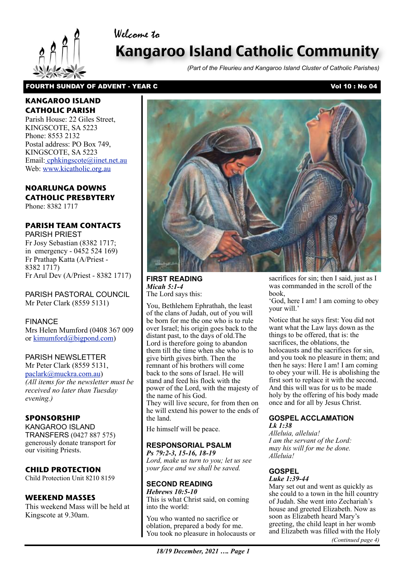Welcome to



# Kangaroo Island Catholic Community

*(Part of the Fleurieu and Kangaroo Island Cluster of Catholic Parishes)*

# FOURTH SUNDAY OF ADVENT - YEAR C VOLUTE 2001 10 : No 04

# **KANGAROO ISLAND CATHOLIC PARISH**

Parish House: 22 Giles Street, KINGSCOTE, SA 5223 Phone: 8553 2132 Postal address: PO Box 749, KINGSCOTE, SA 5223 Email[: cphkingscote@iinet.net.au](mailto:cphkingscote@iinet.net.au) Web: [www.kicatholic.org.au](http://www.kicatholic.org.au)

# **NOARLUNGA DOWNS CATHOLIC PRESBYTERY**

Phone: 8382 1717

# **PARISH TEAM CONTACTS**

PARISH PRIEST Fr Josy Sebastian (8382 1717; in emergency - 0452 524 169) Fr Prathap Katta (A/Priest - 8382 1717) Fr Arul Dev (A/Priest - 8382 1717)

PARISH PASTORAL COUNCIL Mr Peter Clark (8559 5131)

FINANCE Mrs Helen Mumford (0408 367 009 or [kimumford@bigpond.com\)](mailto:kimumford@bigpond.com)

#### PARISH NEWSLETTER

Mr Peter Clark (8559 5131, [paclark@muckra.com.au\)](mailto:paclark@muckra.com.au) *(All items for the newsletter must be received no later than Tuesday evening.)*

## **SPONSORSHIP**

KANGAROO ISLAND TRANSFERS (0427 887 575) generously donate transport for our visiting Priests.

## **CHILD PROTECTION**

Child Protection Unit 8210 8159

## **WEEKEND MASSES**

This weekend Mass will be held at Kingscote at 9.30am.



**FIRST READING** *Micah 5:1-4* The Lord says this:

You, Bethlehem Ephrathah, the least of the clans of Judah, out of you will be born for me the one who is to rule over Israel; his origin goes back to the distant past, to the days of old.The Lord is therefore going to abandon them till the time when she who is to give birth gives birth. Then the remnant of his brothers will come back to the sons of Israel. He will stand and feed his flock with the power of the Lord, with the majesty of the name of his God. They will live secure, for from then on he will extend his power to the ends of the land.

He himself will be peace.

#### **RESPONSORIAL PSALM**

*Ps 79:2-3, 15-16, 18-19 Lord, make us turn to you; let us see your face and we shall be saved.*

# **SECOND READING**

*Hebrews 10:5-10* This is what Christ said, on coming into the world:

 You took no pleasure in holocausts or You who wanted no sacrifice or oblation, prepared a body for me.

sacrifices for sin; then I said, just as I was commanded in the scroll of the book,

'God, here I am! I am coming to obey your will.'

Notice that he says first: You did not want what the Law lays down as the things to be offered, that is: the sacrifices, the oblations, the holocausts and the sacrifices for sin, and you took no pleasure in them; and then he says: Here I am! I am coming to obey your will. He is abolishing the first sort to replace it with the second. And this will was for us to be made holy by the offering of his body made once and for all by Jesus Christ.

#### **GOSPEL ACCLAMATION** *Lk 1:38*

*Alleluia, alleluia! I am the servant of the Lord: may his will for me be done. Alleluia!*

# **GOSPEL**

*Luke 1:39-44*

Mary set out and went as quickly as she could to a town in the hill country of Judah. She went into Zechariah's house and greeted Elizabeth. Now as soon as Elizabeth heard Mary's greeting, the child leapt in her womb and Elizabeth was filled with the Holy *(Continued page 4)*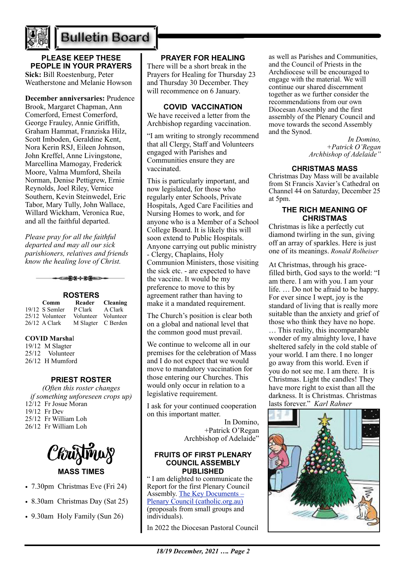

# **Bulletin Board**

# **PLEASE KEEP THESE PEOPLE IN YOUR PRAYERS**

**Sick:** Bill Roestenburg, Peter Weatherstone and Melanie Howson

**December anniversaries:** Prudence Brook, Margaret Chapman, Ann Comerford, Ernest Comerford, George Frauley, Annie Griffith, Graham Hammat, Franziska Hilz, Scott Imboden, Geraldine Kent, Nora Kerin RSJ, Eileen Johnson, John Kreffel, Anne Livingstone, Marcellina Mamogay, Frederick Moore, Valma Mumford, Sheila Norman, Denise Pettigrew, Ernie Reynolds, Joel Riley, Vernice Southern, Kevin Steinwedel, Eric Tabor, Mary Tully, John Wallace, Willard Wickham, Veronica Rue, and all the faithful departed.

*Please pray for all the faithful departed and may all our sick parishioners, relatives and friends know the healing love of Christ.*



### **ROSTERS Comm Reader Cleaning**

| <b>Comm</b>      | Reader    | <b>Cleaning</b> |
|------------------|-----------|-----------------|
| $19/12$ S Semler | P Clark   | A Clark         |
| 25/12 Volunteer  | Volunteer | Volunteer       |
| $26/12$ A Clark  | M Slagter | C Berden        |

#### **COVID Marsha**l

| 19/12 M Slagter |
|-----------------|
| 25/12 Volunteer |
| 26/12 H Mumford |

## **PRIEST ROSTER**

*(Often this roster changes if something unforeseen crops up)* 12/12 Fr Josue Moran 19/12 Fr Dev 25/12 Fr William Loh 26/12 Fr William Loh



- 7.30pm Christmas Eve (Fri 24)
- 8.30am Christmas Day (Sat 25)
- 9.30am Holy Family (Sun 26)

## **PRAYER FOR HEALING**

There will be a short break in the Prayers for Healing for Thursday 23 and Thursday 30 December. They will recommence on 6 January.

## **COVID VACCINATION**

We have received a letter from the Archbishop regarding vaccination.

"I am writing to strongly recommend that all Clergy, Staff and Volunteers engaged with Parishes and Communities ensure they are vaccinated.

This is particularly important, and now legislated, for those who regularly enter Schools, Private Hospitals, Aged Care Facilities and Nursing Homes to work, and for anyone who is a Member of a School College Board. It is likely this will soon extend to Public Hospitals. Anyone carrying out public ministry - Clergy, Chaplains, Holy Communion Ministers, those visiting the sick etc. - are expected to have the vaccine. It would be my preference to move to this by agreement rather than having to make it a mandated requirement.

The Church's position is clear both on a global and national level that the common good must prevail.

We continue to welcome all in our premises for the celebration of Mass and I do not expect that we would move to mandatory vaccination for those entering our Churches. This would only occur in relation to a legislative requirement.

I ask for your continued cooperation on this important matter.

> In Domino, +Patrick O'Regan Archbishop of Adelaide"

#### **FRUITS OF FIRST PLENARY COUNCIL ASSEMBLY PUBLISHED**

" I am delighted to communicate the Report for the first Plenary Council Assembly. The Key Documents -[Plenary Council \(catholic.org.au\)](https://aus01.safelinks.protection.outlook.com/?url=https://plenarycouncil.catholic.org.au/keydocuments/&data=04%7C01%7CAJoseph@adelaide.catholic.org.au%7C9b0acdc235244dc474f708d9bdc03fe8%7Cfe51d108d61d407cbcaaaab5af82a7ac%7C1%7C0%7C637749455670655316%7CUnknown%7CTWFpbGZsb3d8eyJWIjoiMC4wLjAwMDAiLCJQIjoiV2luMzIiLCJBTiI6Ik1haWwiLCJXVCI6Mn0=%7C3000&sdata=LTHZUWX6fEGlQkmlUz59mN3mC2asiElhCYgokjHOmRQ=&reserved=0)  (proposals from small groups and individuals).

In 2022 the Diocesan Pastoral Council

as well as Parishes and Communities, and the Council of Priests in the Archdiocese will be encouraged to engage with the material. We will continue our shared discernment together as we further consider the recommendations from our own Diocesan Assembly and the first assembly of the Plenary Council and move towards the second Assembly and the Synod.

> *In Domino, +Patrick O'Regan Archbishop of Adelaide"*

#### **CHRISTMAS MASS**

Christmas Day Mass will be available from St Francis Xavier's Cathedral on Channel 44 on Saturday, December 25 at 5pm.

#### **THE RICH MEANING OF CHRISTMAS**

Christmas is like a perfectly cut diamond twirling in the sun, giving off an array of sparkles. Here is just one of its meanings. *Ronald Rolheiser*

At Christmas, through his gracefilled birth, God says to the world: "I am there. I am with you. I am your life. … Do not be afraid to be happy. For ever since I wept, joy is the standard of living that is really more suitable than the anxiety and grief of those who think they have no hope. … This reality, this incomparable wonder of my almighty love, I have sheltered safely in the cold stable of your world. I am there. I no longer go away from this world. Even if you do not see me. I am there. It is Christmas. Light the candles! They have more right to exist than all the darkness. It is Christmas. Christmas lasts forever." *Karl Rahner*

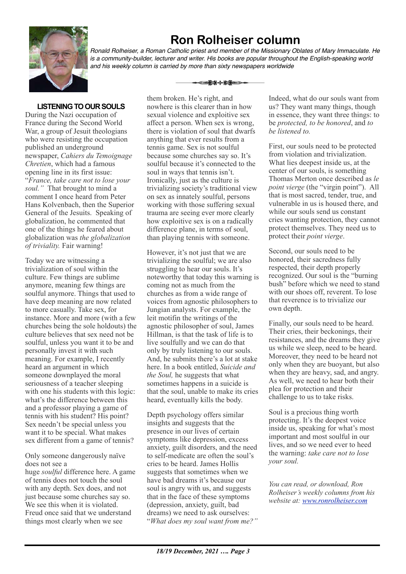

# **Ron Rolheiser column**

*Ronald Rolheiser, a Roman Catholic priest and member of the Missionary Oblates of Mary Immaculate. He is a community-builder, lecturer and writer. His books are popular throughout the English-speaking world and his weekly column is carried by more than sixty newspapers worldwide*

ఆ<del>≵⊀⊹⊁≸</del>

## **LISTENING TO OUR SOULS**

During the Nazi occupation of France during the Second World War, a group of Jesuit theologians who were resisting the occupation published an underground newspaper, *Cahiers du Temoignage Chretien*, which had a famous opening line in its first issue: "*France, take care not to lose your soul."* That brought to mind a comment I once heard from Peter Hans Kolvenbach, then the Superior General of the Jesuits. Speaking of globalization, he commented that one of the things he feared about globalization was *the globalization of triviality.* Fair warning!

Today we are witnessing a trivialization of soul within the culture. Few things are sublime anymore, meaning few things are soulful anymore. Things that used to have deep meaning are now related to more casually. Take sex, for instance. More and more (with a few churches being the sole holdouts) the culture believes that sex need not be soulful, unless you want it to be and personally invest it with such meaning. For example, I recently heard an argument in which someone downplayed the moral seriousness of a teacher sleeping with one his students with this logic: what's the difference between this and a professor playing a game of tennis with his student? His point? Sex needn't be special unless you want it to be special. What makes sex different from a game of tennis?

#### Only someone dangerously naïve does not see a

huge *soulful* difference here. A game of tennis does not touch the soul with any depth. Sex does, and not just because some churches say so. We see this when it is violated. Freud once said that we understand things most clearly when we see

them broken. He's right, and nowhere is this clearer than in how sexual violence and exploitive sex affect a person. When sex is wrong, there is violation of soul that dwarfs anything that ever results from a tennis game. Sex is not soulful because some churches say so. It's soulful because it's connected to the soul in ways that tennis isn't. Ironically, just as the culture is trivializing society's traditional view on sex as innately soulful, persons working with those suffering sexual trauma are seeing ever more clearly how exploitive sex is on a radically difference plane, in terms of soul, than playing tennis with someone.

However, it's not just that we are trivializing the soulful; we are also struggling to hear our souls. It's noteworthy that today this warning is coming not as much from the churches as from a wide range of voices from agnostic philosophers to Jungian analysts. For example, the leit motifin the writings of the agnostic philosopher of soul, James Hillman, is that the task of life is to live soulfully and we can do that only by truly listening to our souls. And, he submits there's a lot at stake here. In a book entitled, *Suicide and the Soul,* he suggests that what sometimes happens in a suicide is that the soul, unable to make its cries heard, eventually kills the body.

Depth psychology offers similar insights and suggests that the presence in our lives of certain symptoms like depression, excess anxiety, guilt disorders, and the need to self-medicate are often the soul's cries to be heard. James Hollis suggests that sometimes when we have bad dreams it's because our soul is angry with us, and suggests that in the face of these symptoms (depression, anxiety, guilt, bad dreams) we need to ask ourselves: "*What does my soul want from me?"* 

Indeed, what do our souls want from us? They want many things, though in essence, they want three things: to be *protected, to be honored*, and *to be listened to.*

First, our souls need to be protected from violation and trivialization. What lies deepest inside us, at the center of our souls, is something Thomas Merton once described as *le point vierge* (the "virgin point"). All that is most sacred, tender, true, and vulnerable in us is housed there, and while our souls send us constant cries wanting protection, they cannot protect themselves. They need us to protect their *point vierge*.

Second, our souls need to be honored, their sacredness fully respected, their depth properly recognized. Our soul is the "burning bush" before which we need to stand with our shoes off, reverent. To lose that reverence is to trivialize our own depth.

Finally, our souls need to be heard. Their cries, their beckonings, their resistances, and the dreams they give us while we sleep, need to be heard. Moreover, they need to be heard not only when they are buoyant, but also when they are heavy, sad, and angry. As well, we need to hear both their plea for protection and their challenge to us to take risks.

Soul is a precious thing worth protecting. It's the deepest voice inside us, speaking for what's most important and most soulful in our lives, and so we need ever to heed the warning: *take care not to lose your soul.*

*You can read, or download, Ron Rolheiser's weekly columns from his website at: [www.ronrolheiser.com](http://www.ronrolheiser.com)*